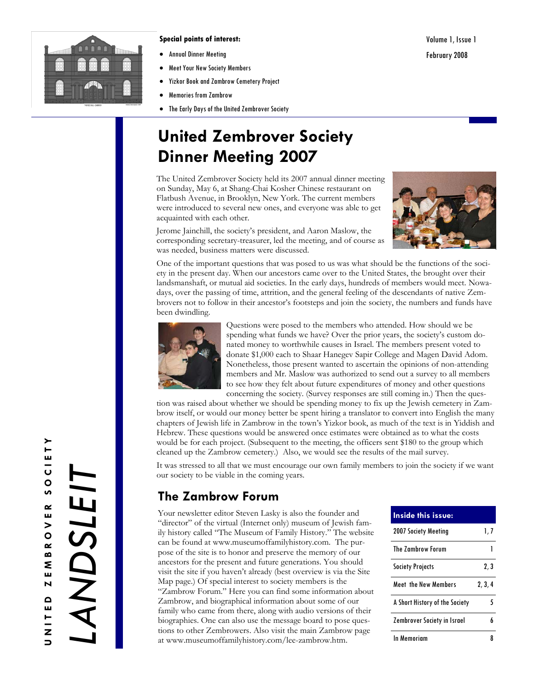

#### **Special points of interest:**

- Annual Dinner Meeting
- Meet Your New Society Members
- Yizkor Book and Zambrow Cemetery Project
- Memories from Zambrow
- The Early Days of the United Zembrover Society

# **United Zembrover Society Dinner Meeting 2007**

The United Zembrover Society held its 2007 annual dinner meeting on Sunday, May 6, at Shang-Chai Kosher Chinese restaurant on Flatbush Avenue, in Brooklyn, New York. The current members were introduced to several new ones, and everyone was able to get acquainted with each other.



Jerome Jainchill, the society's president, and Aaron Maslow, the corresponding secretary-treasurer, led the meeting, and of course as was needed, business matters were discussed.

One of the important questions that was posed to us was what should be the functions of the society in the present day. When our ancestors came over to the United States, the brought over their landsmanshaft, or mutual aid societies. In the early days, hundreds of members would meet. Nowadays, over the passing of time, attrition, and the general feeling of the descendants of native Zembrovers not to follow in their ancestor's footsteps and join the society, the numbers and funds have been dwindling.



Questions were posed to the members who attended. How should we be spending what funds we have? Over the prior years, the society's custom donated money to worthwhile causes in Israel. The members present voted to donate \$1,000 each to Shaar Hanegev Sapir College and Magen David Adom. Nonetheless, those present wanted to ascertain the opinions of non-attending members and Mr. Maslow was authorized to send out a survey to all members to see how they felt about future expenditures of money and other questions concerning the society. (Survey responses are still coming in.) Then the ques-

tion was raised about whether we should be spending money to fix up the Jewish cemetery in Zambrow itself, or would our money better be spent hiring a translator to convert into English the many chapters of Jewish life in Zambrow in the town's Yizkor book, as much of the text is in Yiddish and Hebrew. These questions would be answered once estimates were obtained as to what the costs would be for each project. (Subsequent to the meeting, the officers sent \$180 to the group which cleaned up the Zambrow cemetery.) Also, we would see the results of the mail survey.

It was stressed to all that we must encourage our own family members to join the society if we want our society to be viable in the coming years.

## **The Zambrow Forum**

Your newsletter editor Steven Lasky is also the founder and "director" of the virtual (Internet only) museum of Jewish family history called "The Museum of Family History." The website can be found at www.museumoffamilyhistory.com. The purpose of the site is to honor and preserve the memory of our ancestors for the present and future generations. You should visit the site if you haven't already (best overview is via the Site Map page.) Of special interest to society members is the "Zambrow Forum." Here you can find some information about Zambrow, and biographical information about some of our family who came from there, along with audio versions of their biographies. One can also use the message board to pose questions to other Zembrowers. Also visit the main Zambrow page at www.museumoffamilyhistory.com/lee-zambrow.htm.

| <b>Inside this issue:</b>      |         |
|--------------------------------|---------|
| 2007 Society Meeting           | 1, 7    |
| <b>The Zambrow Forum</b>       |         |
| <b>Society Projects</b>        | 2, 3    |
| <b>Meet the New Members</b>    | 2, 3, 4 |
| A Short History of the Society | 5       |
| Zembrover Society in Israel    | 6       |
| <b>In Memoriam</b>             |         |

Volume 1, Issue 1 February 2008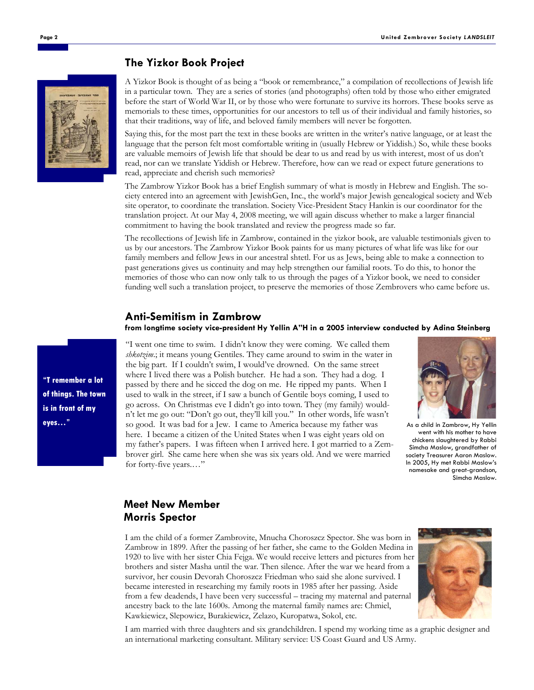#### **The Yizkor Book Project**

A Yizkor Book is thought of as being a "book or remembrance," a compilation of recollections of Jewish life in a particular town. They are a series of stories (and photographs) often told by those who either emigrated before the start of World War II, or by those who were fortunate to survive its horrors. These books serve as memorials to these times, opportunities for our ancestors to tell us of their individual and family histories, so that their traditions, way of life, and beloved family members will never be forgotten.

Saying this, for the most part the text in these books are written in the writer's native language, or at least the language that the person felt most comfortable writing in (usually Hebrew or Yiddish.) So, while these books are valuable memoirs of Jewish life that should be dear to us and read by us with interest, most of us don't read, nor can we translate Yiddish or Hebrew. Therefore, how can we read or expect future generations to read, appreciate and cherish such memories?

The Zambrow Yizkor Book has a brief English summary of what is mostly in Hebrew and English. The society entered into an agreement with JewishGen, Inc., the world's major Jewish genealogical society and Web site operator, to coordinate the translation. Society Vice-President Stacy Hankin is our coordinator for the translation project. At our May 4, 2008 meeting, we will again discuss whether to make a larger financial commitment to having the book translated and review the progress made so far.

The recollections of Jewish life in Zambrow, contained in the yizkor book, are valuable testimonials given to us by our ancestors. The Zambrow Yizkor Book paints for us many pictures of what life was like for our family members and fellow Jews in our ancestral shtetl. For us as Jews, being able to make a connection to past generations gives us continuity and may help strengthen our familial roots. To do this, to honor the memories of those who can now only talk to us through the pages of a Yizkor book, we need to consider funding well such a translation project, to preserve the memories of those Zembrovers who came before us.

#### **Anti-Semitism in Zambrow**

**from longtime society vice-president Hy Yellin A"H in a 2005 interview conducted by Adina Steinberg** 

"I went one time to swim. I didn't know they were coming. We called them *shkotzim*.; it means young Gentiles. They came around to swim in the water in the big part. If I couldn't swim, I would've drowned. On the same street where I lived there was a Polish butcher. He had a son. They had a dog. I passed by there and he sicced the dog on me. He ripped my pants. When I used to walk in the street, if I saw a bunch of Gentile boys coming, I used to go across. On Christmas eve I didn't go into town. They (my family) wouldn't let me go out: "Don't go out, they'll kill you." In other words, life wasn't so good. It was bad for a Jew. I came to America because my father was here. I became a citizen of the United States when I was eight years old on my father's papers. I was fifteen when I arrived here. I got married to a Zembrover girl. She came here when she was six years old. And we were married for forty-five years.…"



As a child in Zambrow, Hy Yellin went with his mother to have chickens slaughtered by Rabbi Simcha Maslow, grandfather of society Treasurer Aaron Maslow. In 2005, Hy met Rabbi Maslow's namesake and great-grandson, Simcha Maslow.

### **Meet New Member Morris Spector**

I am the child of a former Zambrovite, Mnucha Choroszcz Spector. She was born in Zambrow in 1899. After the passing of her father, she came to the Golden Medina in 1920 to live with her sister Chia Fejga. We would receive letters and pictures from her brothers and sister Masha until the war. Then silence. After the war we heard from a survivor, her cousin Devorah Choroszcz Friedman who said she alone survived. I became interested in researching my family roots in 1985 after her passing. Aside from a few deadends, I have been very successful – tracing my maternal and paternal ancestry back to the late 1600s. Among the maternal family names are: Chmiel, Kawkiewicz, Slepowicz, Burakiewicz, Zelazo, Kuropatwa, Sokol, etc.



I am married with three daughters and six grandchildren. I spend my working time as a graphic designer and an international marketing consultant. Military service: US Coast Guard and US Army.



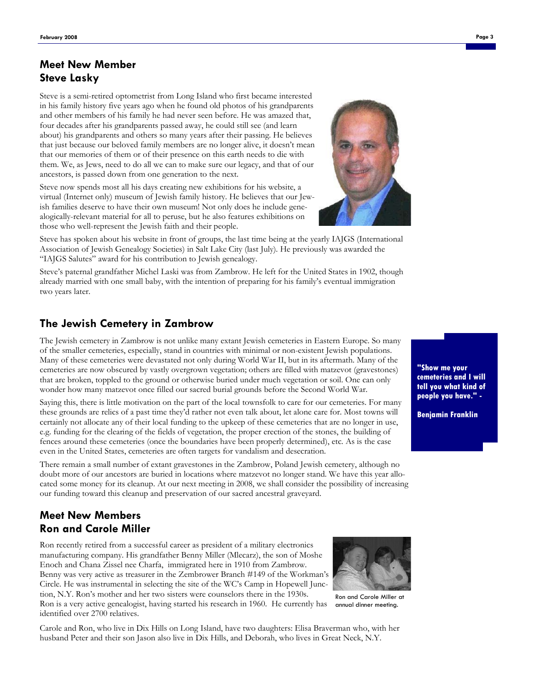Steve is a semi-retired optometrist from Long Island who first became interested in his family history five years ago when he found old photos of his grandparents and other members of his family he had never seen before. He was amazed that, four decades after his grandparents passed away, he could still see (and learn about) his grandparents and others so many years after their passing. He believes that just because our beloved family members are no longer alive, it doesn't mean that our memories of them or of their presence on this earth needs to die with them. We, as Jews, need to do all we can to make sure our legacy, and that of our ancestors, is passed down from one generation to the next.

Steve now spends most all his days creating new exhibitions for his website, a virtual (Internet only) museum of Jewish family history. He believes that our Jewish families deserve to have their own museum! Not only does he include genealogically-relevant material for all to peruse, but he also features exhibitions on those who well-represent the Jewish faith and their people.



Steve has spoken about his website in front of groups, the last time being at the yearly IAJGS (International Association of Jewish Genealogy Societies) in Salt Lake City (last July). He previously was awarded the "IAJGS Salutes" award for his contribution to Jewish genealogy.

Steve's paternal grandfather Michel Laski was from Zambrow. He left for the United States in 1902, though already married with one small baby, with the intention of preparing for his family's eventual immigration two years later.

## **The Jewish Cemetery in Zambrow**

The Jewish cemetery in Zambrow is not unlike many extant Jewish cemeteries in Eastern Europe. So many of the smaller cemeteries, especially, stand in countries with minimal or non-existent Jewish populations. Many of these cemeteries were devastated not only during World War II, but in its aftermath. Many of the cemeteries are now obscured by vastly overgrown vegetation; others are filled with matzevot (gravestones) that are broken, toppled to the ground or otherwise buried under much vegetation or soil. One can only wonder how many matzevot once filled our sacred burial grounds before the Second World War.

Saying this, there is little motivation on the part of the local townsfolk to care for our cemeteries. For many these grounds are relics of a past time they'd rather not even talk about, let alone care for. Most towns will certainly not allocate any of their local funding to the upkeep of these cemeteries that are no longer in use, e.g. funding for the clearing of the fields of vegetation, the proper erection of the stones, the building of fences around these cemeteries (once the boundaries have been properly determined), etc. As is the case even in the United States, cemeteries are often targets for vandalism and desecration.

There remain a small number of extant gravestones in the Zambrow, Poland Jewish cemetery, although no doubt more of our ancestors are buried in locations where matzevot no longer stand. We have this year allocated some money for its cleanup. At our next meeting in 2008, we shall consider the possibility of increasing our funding toward this cleanup and preservation of our sacred ancestral graveyard.

## **Meet New Members Ron and Carole Miller**

identified over 2700 relatives.

Ron recently retired from a successful career as president of a military electronics manufacturing company. His grandfather Benny Miller (Mlecarz), the son of Moshe Enoch and Chana Zissel nee Charfa, immigrated here in 1910 from Zambrow. Benny was very active as treasurer in the Zembrower Branch #149 of the Workman's Circle. He was instrumental in selecting the site of the WC's Camp in Hopewell Junction, N.Y. Ron's mother and her two sisters were counselors there in the 1930s. Ron is a very active genealogist, having started his research in 1960. He currently has



Ron and Carole Miller at annual dinner meeting.

Carole and Ron, who live in Dix Hills on Long Island, have two daughters: Elisa Braverman who, with her husband Peter and their son Jason also live in Dix Hills, and Deborah, who lives in Great Neck, N.Y.

**"Show me your cemeteries and I will tell you what kind of people you have." -** 

**Benjamin Franklin**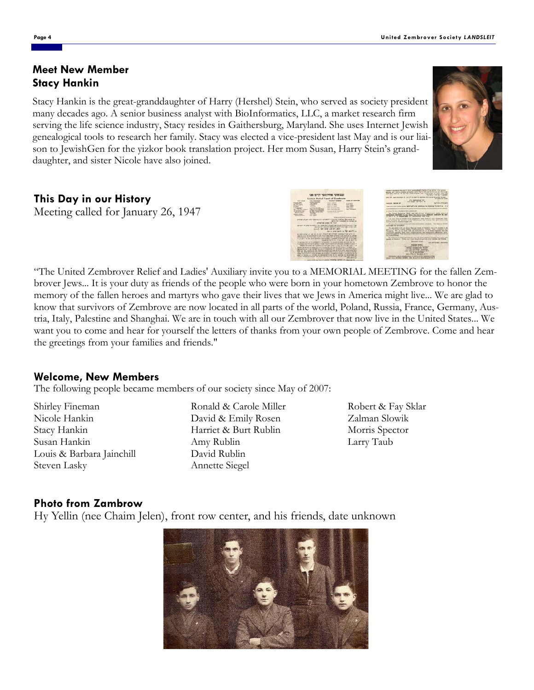Stacy Hankin is the great-granddaughter of Harry (Hershel) Stein, who served as society president many decades ago. A senior business analyst with BioInformatics, LLC, a market research firm serving the life science industry, Stacy resides in Gaithersburg, Maryland. She uses Internet Jewish genealogical tools to research her family. Stacy was elected a vice-president last May and is our liaison to JewishGen for the yizkor book translation project. Her mom Susan, Harry Stein's granddaughter, and sister Nicole have also joined.

## **This Day in our History**

Meeting called for January 26, 1947

"The United Zembrover Relief and Ladies' Auxiliary invite you to a MEMORIAL MEETING for the fallen Zembrover Jews... It is your duty as friends of the people who were born in your hometown Zembrove to honor the memory of the fallen heroes and martyrs who gave their lives that we Jews in America might live... We are glad to know that survivors of Zembrove are now located in all parts of the world, Poland, Russia, France, Germany, Austria, Italy, Palestine and Shanghai. We are in touch with all our Zembrover that now live in the United States... We want you to come and hear for yourself the letters of thanks from your own people of Zembrove. Come and hear the greetings from your families and friends."

## **Welcome, New Members**

The following people became members of our society since May of 2007:

Shirley Fineman Nicole Hankin Stacy Hankin Susan Hankin Louis & Barbara Jainchill Steven Lasky

Ronald & Carole Miller David & Emily Rosen Harriet & Burt Rublin Amy Rublin David Rublin Annette Siegel

Robert & Fay Sklar Zalman Slowik Morris Spector Larry Taub

## **Photo from Zambrow**

Hy Yellin (nee Chaim Jelen), front row center, and his friends, date unknown



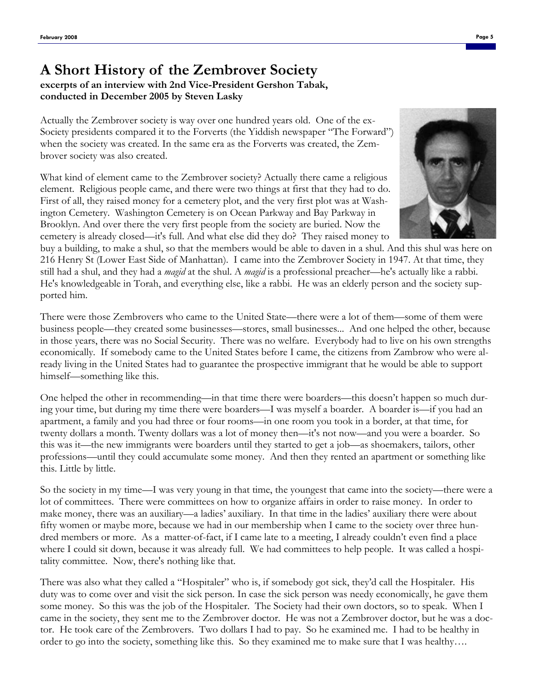## **A Short History of the Zembrover Society excerpts of an interview with 2nd Vice-President Gershon Tabak, conducted in December 2005 by Steven Lasky**

Actually the Zembrover society is way over one hundred years old. One of the ex-Society presidents compared it to the Forverts (the Yiddish newspaper "The Forward") when the society was created. In the same era as the Forverts was created, the Zembrover society was also created.

What kind of element came to the Zembrover society? Actually there came a religious element. Religious people came, and there were two things at first that they had to do. First of all, they raised money for a cemetery plot, and the very first plot was at Washington Cemetery. Washington Cemetery is on Ocean Parkway and Bay Parkway in Brooklyn. And over there the very first people from the society are buried. Now the cemetery is already closed—it's full. And what else did they do? They raised money to



buy a building, to make a shul, so that the members would be able to daven in a shul. And this shul was here on 216 Henry St (Lower East Side of Manhattan). I came into the Zembrover Society in 1947. At that time, they still had a shul, and they had a *magid* at the shul. A *magid* is a professional preacher—he's actually like a rabbi. He's knowledgeable in Torah, and everything else, like a rabbi. He was an elderly person and the society supported him.

There were those Zembrovers who came to the United State—there were a lot of them—some of them were business people—they created some businesses—stores, small businesses... And one helped the other, because in those years, there was no Social Security. There was no welfare. Everybody had to live on his own strengths economically. If somebody came to the United States before I came, the citizens from Zambrow who were already living in the United States had to guarantee the prospective immigrant that he would be able to support himself—something like this.

One helped the other in recommending—in that time there were boarders—this doesn't happen so much during your time, but during my time there were boarders—I was myself a boarder. A boarder is—if you had an apartment, a family and you had three or four rooms—in one room you took in a border, at that time, for twenty dollars a month. Twenty dollars was a lot of money then—it's not now—and you were a boarder. So this was it—the new immigrants were boarders until they started to get a job—as shoemakers, tailors, other professions—until they could accumulate some money. And then they rented an apartment or something like this. Little by little.

So the society in my time—I was very young in that time, the youngest that came into the society—there were a lot of committees. There were committees on how to organize affairs in order to raise money. In order to make money, there was an auxiliary—a ladies' auxiliary. In that time in the ladies' auxiliary there were about fifty women or maybe more, because we had in our membership when I came to the society over three hundred members or more. As a matter-of-fact, if I came late to a meeting, I already couldn't even find a place where I could sit down, because it was already full. We had committees to help people. It was called a hospitality committee. Now, there's nothing like that.

There was also what they called a "Hospitaler" who is, if somebody got sick, they'd call the Hospitaler. His duty was to come over and visit the sick person. In case the sick person was needy economically, he gave them some money. So this was the job of the Hospitaler. The Society had their own doctors, so to speak. When I came in the society, they sent me to the Zembrover doctor. He was not a Zembrover doctor, but he was a doctor. He took care of the Zembrovers. Two dollars I had to pay. So he examined me. I had to be healthy in order to go into the society, something like this. So they examined me to make sure that I was healthy….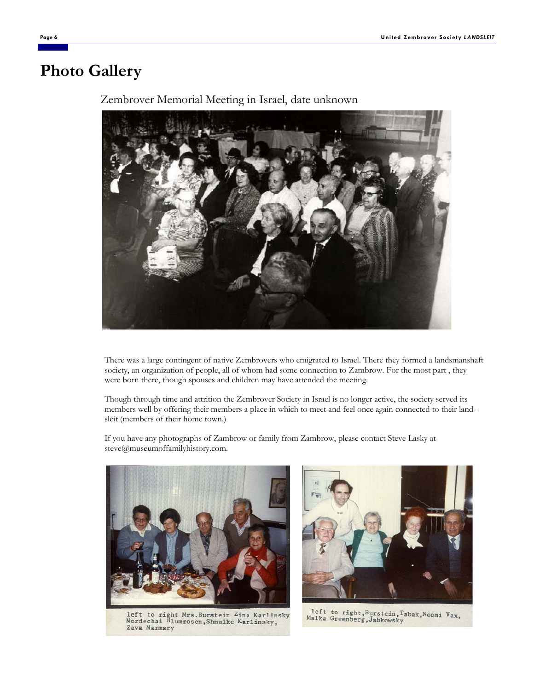# **Photo Gallery**



Zembrover Memorial Meeting in Israel, date unknown

There was a large contingent of native Zembrovers who emigrated to Israel. There they formed a landsmanshaft society, an organization of people, all of whom had some connection to Zambrow. For the most part , they were born there, though spouses and children may have attended the meeting.

Though through time and attrition the Zembrover Society in Israel is no longer active, the society served its members well by offering their members a place in which to meet and feel once again connected to their landsleit (members of their home town.)

If you have any photographs of Zambrow or family from Zambrow, please contact Steve Lasky at steve@museumoffamilyhistory.com.



left to right Mrs.Burstein <sup>L</sup>ina Karlinsky<br>Mordechai Blumrosen, Shmulke Karlinsky, Zava Marmary



left to right, Burstein, Tabak, Neomi Vax, Malka Greenberg, Jabkowsky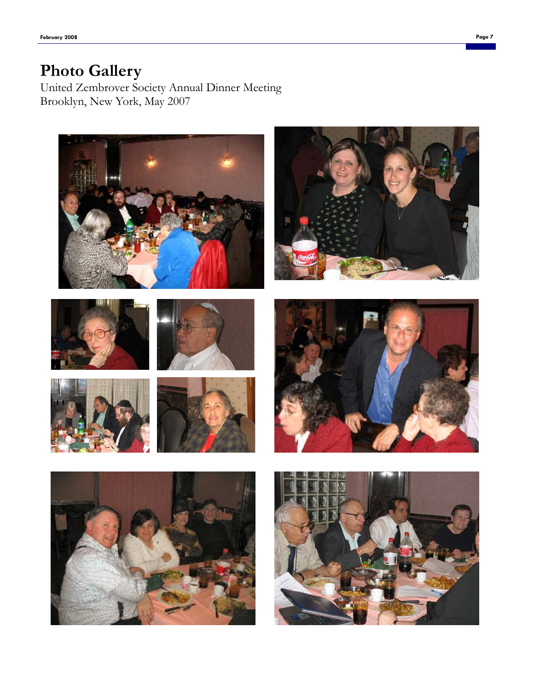# **Photo Gallery**

United Zembrover Society Annual Dinner Meeting Brooklyn, New York, May 2007